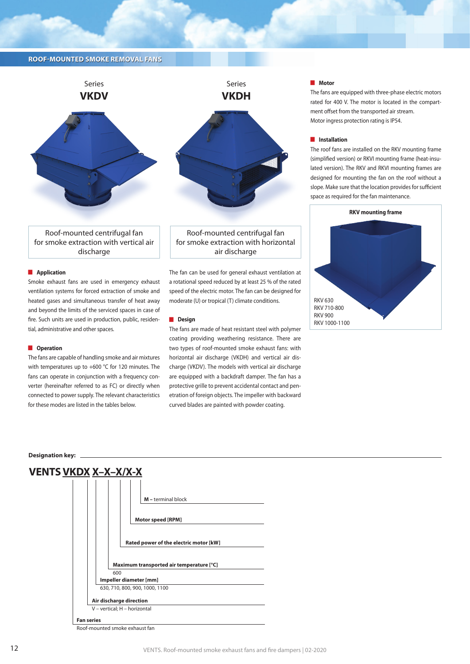

Roof-mounted centrifugal fan for smoke extraction with vertical air discharge

### **Application**

Smoke exhaust fans are used in emergency exhaust ventilation systems for forced extraction of smoke and heated gases and simultaneous transfer of heat away and beyond the limits of the serviced spaces in case of fire. Such units are used in production, public, residential, administrative and other spaces.

#### **D** Operation

The fans are capable of handling smoke and air mixtures with temperatures up to +600 °C for 120 minutes. The fans can operate in conjunction with a frequency converter (hereinafter referred to as FC) or directly when connected to power supply. The relevant characteristics for these modes are listed in the tables below.



Roof-mounted centrifugal fan for smoke extraction with horizontal air discharge

The fan can be used for general exhaust ventilation at a rotational speed reduced by at least 25 % of the rated speed of the electric motor. The fan can be designed for moderate (U) or tropical (T) climate conditions.

#### **Design**

The fans are made of heat resistant steel with polymer coating providing weathering resistance. There are two types of roof-mounted smoke exhaust fans: with horizontal air discharge (VKDH) and vertical air discharge (VKDV). The models with vertical air discharge are equipped with a backdraft damper. The fan has a protective grille to prevent accidental contact and penetration of foreign objects. The impeller with backward curved blades are painted with powder coating.

#### **Notor**

The fans are equipped with three-phase electric motors rated for 400 V. The motor is located in the compartment offset from the transported air stream. Motor ingress protection rating is IP54.

#### $\blacksquare$  Installation

The roof fans are installed on the RKV mounting frame (simplified version) or RKVI mounting frame (heat-insulated version). The RKV and RKVI mounting frames are designed for mounting the fan on the roof without a slope. Make sure that the location provides for sufficient space as required for the fan maintenance.



#### **Designation key:**

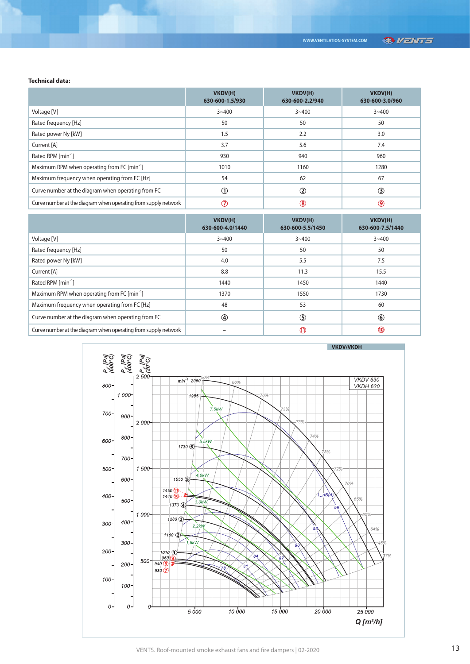### **Technical data:**

|                                                                | VKDV(H)<br>630-600-1.5/930 | VKDV(H)<br>630-600-2.2/940 | VKDV(H)<br>630-600-3.0/960 |
|----------------------------------------------------------------|----------------------------|----------------------------|----------------------------|
| Voltage [V]                                                    | $3 - 400$                  | $3 - 400$                  | $3 - 400$                  |
| Rated frequency [Hz]                                           | 50                         | 50                         | 50                         |
| Rated power Ny [kW]                                            | 1.5                        | 2.2                        | 3.0                        |
| Current [A]                                                    | 3.7                        | 5.6                        | 7.4                        |
| Rated RPM [min <sup>-1</sup> ]                                 | 930                        | 940                        | 960                        |
| Maximum RPM when operating from FC [min <sup>-1</sup> ]        | 1010                       | 1160                       | 1280                       |
| Maximum frequency when operating from FC [Hz]                  | 54                         | 62                         | 67                         |
| Curve number at the diagram when operating from FC             | $\left( 1\right)$          | $^\circledR$               | ③                          |
| Curve number at the diagram when operating from supply network | T                          | $\circledR$                | (9)                        |

|                                                                | VKDV(H)<br>630-600-4.0/1440 | VKDV(H)<br>630-600-5.5/1450 | VKDV(H)<br>630-600-7.5/1440 |
|----------------------------------------------------------------|-----------------------------|-----------------------------|-----------------------------|
| Voltage [V]                                                    | $3 - 400$                   | $3 - 400$                   | $3 - 400$                   |
| Rated frequency [Hz]                                           | 50                          | 50                          | 50                          |
| Rated power Ny [kW]                                            | 4.0                         | 5.5                         | 7.5                         |
| Current [A]                                                    | 8.8                         | 11.3                        | 15.5                        |
| Rated RPM [min <sup>-1</sup> ]                                 | 1440                        | 1450                        | 1440                        |
| Maximum RPM when operating from FC [min <sup>-1</sup> ]        | 1370                        | 1550                        | 1730                        |
| Maximum frequency when operating from FC [Hz]                  | 48                          | 53                          | 60                          |
| Curve number at the diagram when operating from FC             | $\circledast$               | ⑤                           | $\circledast$               |
| Curve number at the diagram when operating from supply network |                             | $\mathbf{\Omega}$           | $\bf \bf \bf 0$             |

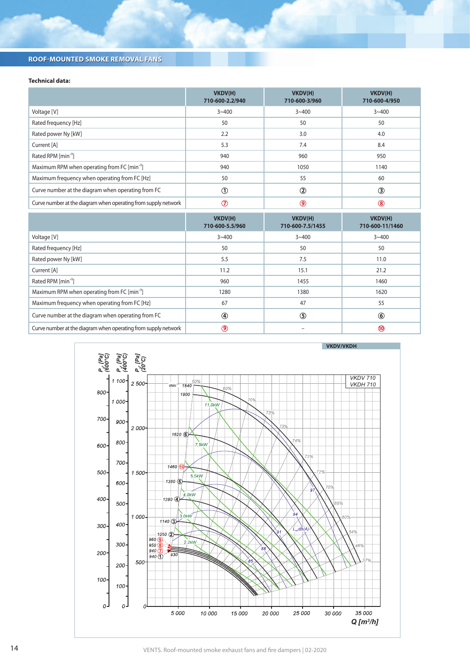## **Technical data:**

|                                                                | VKDV(H)<br>710-600-2.2/940 | VKDV(H)<br>710-600-3/960 | VKDV(H)<br>710-600-4/950 |
|----------------------------------------------------------------|----------------------------|--------------------------|--------------------------|
| Voltage [V]                                                    | $3 - 400$                  | $3 - 400$                | $3 - 400$                |
| Rated frequency [Hz]                                           | 50                         | 50                       | 50                       |
| Rated power Ny [kW]                                            | 2.2                        | 3.0                      | 4.0                      |
| Current [A]                                                    | 5.3                        | 7.4                      | 8.4                      |
| Rated RPM [min <sup>-1</sup> ]                                 | 940                        | 960                      | 950                      |
| Maximum RPM when operating from FC [min <sup>-1</sup> ]        | 940                        | 1050                     | 1140                     |
| Maximum frequency when operating from FC [Hz]                  | 50                         | 55                       | 60                       |
| Curve number at the diagram when operating from FC             |                            | $\circled{2}$            | $\bf(3)$                 |
| Curve number at the diagram when operating from supply network |                            | ◉                        | $\bf{(8)}$               |

|                                                                | VKDV(H)<br>710-600-5.5/960 | VKDV(H)<br>710-600-7.5/1455 | VKDV(H)<br>710-600-11/1460 |
|----------------------------------------------------------------|----------------------------|-----------------------------|----------------------------|
| Voltage [V]                                                    | $3 - 400$                  | $3 - 400$                   | $3 - 400$                  |
| Rated frequency [Hz]                                           | 50                         | 50                          | 50                         |
| Rated power Ny [kW]                                            | 5.5                        | 7.5                         | 11.0                       |
| Current [A]                                                    | 11.2                       | 15.1                        | 21.2                       |
| Rated RPM [min <sup>-1</sup> ]                                 | 960                        | 1455                        | 1460                       |
| Maximum RPM when operating from FC [min <sup>-1</sup> ]        | 1280                       | 1380                        | 1620                       |
| Maximum frequency when operating from FC [Hz]                  | 67                         | 47                          | 55                         |
| Curve number at the diagram when operating from FC             | $\circledast$              | $\circledS$                 | $^{\circ}$                 |
| Curve number at the diagram when operating from supply network | ◉                          |                             | (10)                       |



14 VENTS. Roof-mounted smoke exhaust fans and fire dampers | 02-2020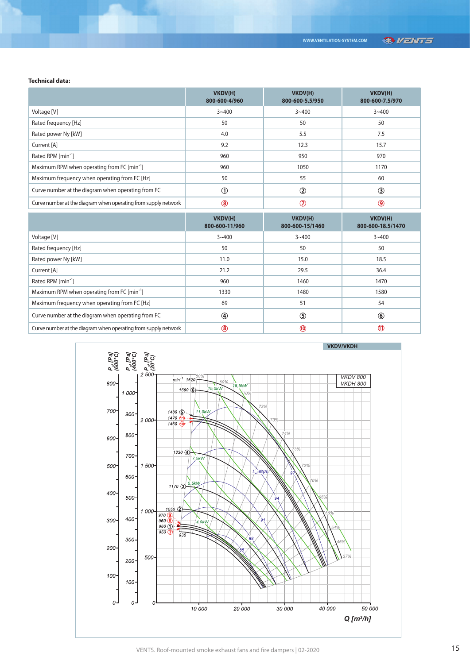### **Technical data:**

|                                                                | VKDV(H)<br>800-600-4/960 | VKDV(H)<br>800-600-5.5/950 | VKDV(H)<br>800-600-7.5/970 |
|----------------------------------------------------------------|--------------------------|----------------------------|----------------------------|
| Voltage [V]                                                    | $3 - 400$                | $3 - 400$                  | $3 - 400$                  |
| Rated frequency [Hz]                                           | 50                       | 50                         | 50                         |
| Rated power Ny [kW]                                            | 4.0                      | 5.5                        | 7.5                        |
| Current [A]                                                    | 9.2                      | 12.3                       | 15.7                       |
| Rated RPM [min <sup>-1</sup> ]                                 | 960                      | 950                        | 970                        |
| Maximum RPM when operating from FC [min <sup>-1</sup> ]        | 960                      | 1050                       | 1170                       |
| Maximum frequency when operating from FC [Hz]                  | 50                       | 55                         | 60                         |
| Curve number at the diagram when operating from FC             | D                        | $\circled{2}$              | 3                          |
| Curve number at the diagram when operating from supply network | (8)                      | ි                          | 9                          |

|                                                                | VKDV(H)<br>800-600-11/960 | VKDV(H)<br>800-600-15/1460 | VKDV(H)<br>800-600-18.5/1470 |
|----------------------------------------------------------------|---------------------------|----------------------------|------------------------------|
| Voltage [V]                                                    | $3 - 400$                 | $3 - 400$                  | $3 - 400$                    |
| Rated frequency [Hz]                                           | 50                        | 50                         | 50                           |
| Rated power Ny [kW]                                            | 11.0                      | 15.0                       | 18.5                         |
| Current [A]                                                    | 21.2                      | 29.5                       | 36.4                         |
| Rated RPM [min <sup>-1</sup> ]                                 | 960                       | 1460                       | 1470                         |
| Maximum RPM when operating from FC [min <sup>-1</sup> ]        | 1330                      | 1480                       | 1580                         |
| Maximum frequency when operating from FC [Hz]                  | 69                        | 51                         | 54                           |
| Curve number at the diagram when operating from FC             | ⊕                         | $\circledS$                | $^{\circ}$                   |
| Curve number at the diagram when operating from supply network | (8)                       | $\bf \Phi$                 | (11)                         |



# VENTS. Roof-mounted smoke exhaust fans and fire dampers | 02-2020 15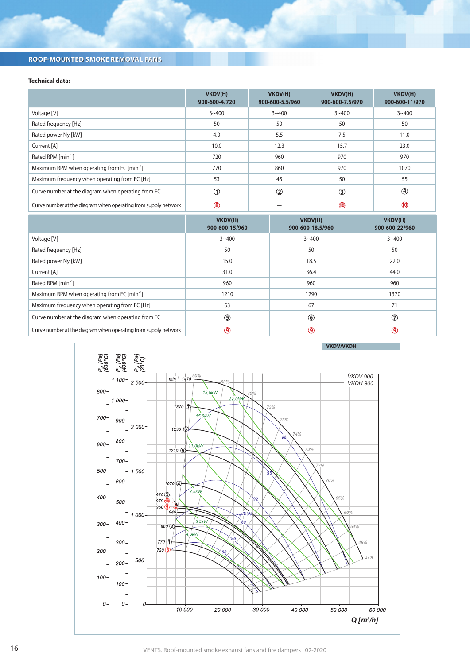## **Technical data:**

|                                                                | VKDV(H)<br>900-600-4/720 | VKDV(H)<br>900-600-5.5/960 | VKDV(H)<br>900-600-7.5/970 | VKDV(H)<br>900-600-11/970 |
|----------------------------------------------------------------|--------------------------|----------------------------|----------------------------|---------------------------|
| Voltage [V]                                                    | $3 - 400$                | $3 - 400$                  | $3 - 400$                  | $3 - 400$                 |
| Rated frequency [Hz]                                           | 50                       | 50                         | 50                         | 50                        |
| Rated power Ny [kW]                                            | 4.0                      | 5.5                        | 7.5                        | 11.0                      |
| Current [A]                                                    | 10.0                     | 12.3                       | 15.7                       | 23.0                      |
| Rated RPM [min <sup>-1</sup> ]                                 | 720                      | 960                        | 970                        | 970                       |
| Maximum RPM when operating from FC [min <sup>-1</sup> ]        | 770                      | 860                        | 970                        | 1070                      |
| Maximum frequency when operating from FC [Hz]                  | 53                       | 45                         | 50                         | 55                        |
| Curve number at the diagram when operating from FC             | $^{\circ}$               | $\circled{2}$              | $\circled{3}$              | $\bigcirc$                |
| Curve number at the diagram when operating from supply network | $\circledast$            |                            |                            | $\bf{0}$                  |

|                                                                | VKDV(H)<br>900-600-15/960 | VKDV(H)<br>900-600-18.5/960 | VKDV(H)<br>900-600-22/960 |
|----------------------------------------------------------------|---------------------------|-----------------------------|---------------------------|
| Voltage [V]                                                    | $3 - 400$                 | $3 - 400$                   | $3 - 400$                 |
| Rated frequency [Hz]                                           | 50                        | 50                          | 50                        |
| Rated power Ny [kW]                                            | 15.0                      | 18.5                        | 22.0                      |
| Current [A]                                                    | 31.0                      | 36.4                        | 44.0                      |
| Rated RPM [min <sup>-1</sup> ]                                 | 960                       | 960                         | 960                       |
| Maximum RPM when operating from FC [min <sup>-1</sup> ]        | 1210                      | 1290                        | 1370                      |
| Maximum frequency when operating from FC [Hz]                  | 63                        | 67                          | 71                        |
| Curve number at the diagram when operating from FC             | $\circledS$               | $\circledast$               | $\circled7$               |
| Curve number at the diagram when operating from supply network | ◉                         | ◉                           | 9                         |



16 VENTS. Roof-mounted smoke exhaust fans and fire dampers | 02-2020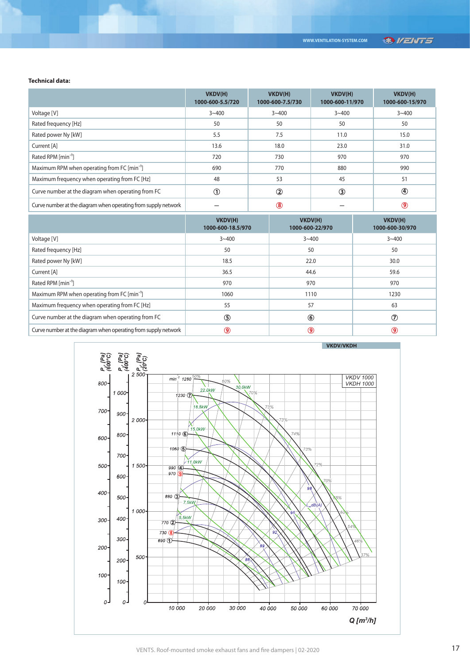## **®VENTS**

### **Technical data:**

|                                                                | VKDV(H)<br>1000-600-5.5/720 | VKDV(H)<br>1000-600-7.5/730 | VKDV(H)<br>1000-600-11/970 | VKDV(H)<br>1000-600-15/970 |
|----------------------------------------------------------------|-----------------------------|-----------------------------|----------------------------|----------------------------|
| Voltage [V]                                                    | $3 - 400$                   | $3 - 400$                   | $3 - 400$                  | $3 - 400$                  |
| Rated frequency [Hz]                                           | 50                          | 50                          | 50                         | 50                         |
| Rated power Ny [kW]                                            | 5.5                         | 7.5                         | 11.0                       | 15.0                       |
| Current [A]                                                    | 13.6                        | 18.0                        | 23.0                       | 31.0                       |
| Rated RPM [min <sup>-1</sup> ]                                 | 720                         | 730                         | 970                        | 970                        |
| Maximum RPM when operating from FC [min <sup>-1</sup> ]        | 690                         | 770                         | 880                        | 990                        |
| Maximum frequency when operating from FC [Hz]                  | 48                          | 53                          | 45                         | 51                         |
| Curve number at the diagram when operating from FC             | ➀                           | $\circled{2}$               | $\circled{3}$              | $^{\circledR}$             |
| Curve number at the diagram when operating from supply network |                             | $\circledast$               |                            | $\circledcirc$             |

|                                                                | VKDV(H)<br>1000-600-18.5/970 | VKDV(H)<br>1000-600-22/970 | VKDV(H)<br>1000-600-30/970 |
|----------------------------------------------------------------|------------------------------|----------------------------|----------------------------|
| Voltage [V]                                                    | $3 - 400$                    | $3 - 400$                  | $3 - 400$                  |
| Rated frequency [Hz]                                           | 50                           | 50                         | 50                         |
| Rated power Ny [kW]                                            | 18.5                         | 22.0                       | 30.0                       |
| Current [A]                                                    | 36.5                         | 44.6                       | 59.6                       |
| Rated RPM [min <sup>-1</sup> ]                                 | 970                          | 970                        | 970                        |
| Maximum RPM when operating from FC [min <sup>-1</sup> ]        | 1060                         | 1110                       | 1230                       |
| Maximum frequency when operating from FC [Hz]                  | 55                           | 57                         | 63                         |
| Curve number at the diagram when operating from FC             | $\circledS$                  | $\circledast$              | $\circled7$                |
| Curve number at the diagram when operating from supply network | $\circledcirc$               | ◉                          | 9                          |

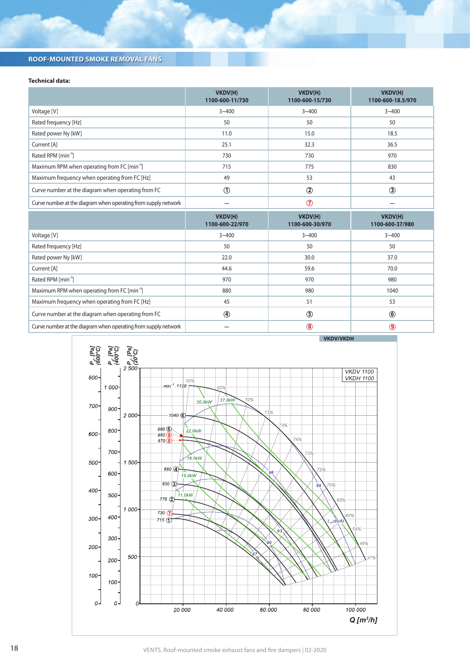## **Technical data:**

|                                                                | VKDV(H)<br>1100-600-11/730 | VKDV(H)<br>1100-600-15/730 | VKDV(H)<br>1100-600-18.5/970 |
|----------------------------------------------------------------|----------------------------|----------------------------|------------------------------|
| Voltage [V]                                                    | $3 - 400$                  | $3 - 400$                  | $3 - 400$                    |
| Rated frequency [Hz]                                           | 50                         | 50                         | 50                           |
| Rated power Ny [kW]                                            | 11.0                       | 15.0                       | 18.5                         |
| Current [A]                                                    | 25.1                       | 32.3                       | 36.5                         |
| Rated RPM [min <sup>-1</sup> ]                                 | 730                        | 730                        | 970                          |
| Maximum RPM when operating from FC [min <sup>-1</sup> ]        | 715                        | 775                        | 830                          |
| Maximum frequency when operating from FC [Hz]                  | 49                         | 53                         | 43                           |
| Curve number at the diagram when operating from FC             | $\circledcirc$             | $^{\circledR}$             | $\circled{3}$                |
| Curve number at the diagram when operating from supply network |                            | $\circledcirc$             |                              |
|                                                                |                            | <b>SALES SALES</b>         |                              |

|                                                                | VKDV(H)<br>1100-600-22/970 | VKDV(H)<br>1100-600-30/970 | VKDV(H)<br>1100-600-37/980 |
|----------------------------------------------------------------|----------------------------|----------------------------|----------------------------|
| Voltage [V]                                                    | $3 - 400$                  | $3 - 400$                  | $3 - 400$                  |
| Rated frequency [Hz]                                           | 50                         | 50                         | 50                         |
| Rated power Ny [kW]                                            | 22.0                       | 30.0                       | 37.0                       |
| Current [A]                                                    | 44.6                       | 59.6                       | 70.0                       |
| Rated RPM [min <sup>-1</sup> ]                                 | 970                        | 970                        | 980                        |
| Maximum RPM when operating from FC [min <sup>-1</sup> ]        | 880                        | 980                        | 1040                       |
| Maximum frequency when operating from FC [Hz]                  | 45                         | 51                         | 53                         |
| Curve number at the diagram when operating from FC             | $^{\circledR}$             | $\circledS$                | $\circledast$              |
| Curve number at the diagram when operating from supply network |                            | $^\circledR$               | $\circledcirc$             |



18 VENTS. Roof-mounted smoke exhaust fans and fire dampers | 02-2020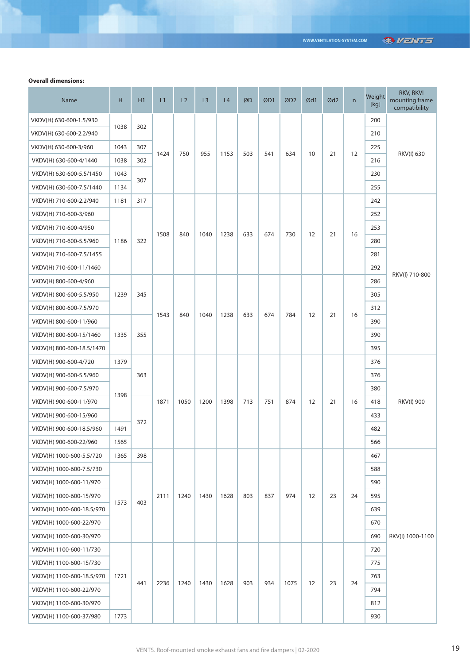# **®VENTS**

### **Overall dimensions:**

| Name                      | H            | H1         | L1   | L2   | L <sub>3</sub> | L4   | ØD  | ØD1 | ØD <sub>2</sub> | Ød1 | Ød <sub>2</sub> | $\mathsf{n}$ | Weight<br>$[kg] % \begin{center} % \includegraphics[width=\textwidth]{images/Trigers.png} % \end{center} % \caption { % \textit{DefNet} of the \textit{DefNet} (MSE) and the \textit{DefNet} (MSE) and the \textit{DefNet} (MSE) and the \textit{DefNet} (MSE) and the \textit{DefNet} (MSE) and the \textit{DefNet} (MSE) and the \textit{DefNet} (MSE) and the \textit{DefNet} (MSE) and the \textit{DefNet} (MSE) and the \textit{DefNet} (MSE) and the \textit{DefNet} (MSE) and the \textit{DefNet} (MSE) and the \textit{DefNet} (MSE) and the \textit{Def$ | RKV, RKVI<br>mounting frame<br>compatibility |
|---------------------------|--------------|------------|------|------|----------------|------|-----|-----|-----------------|-----|-----------------|--------------|-------------------------------------------------------------------------------------------------------------------------------------------------------------------------------------------------------------------------------------------------------------------------------------------------------------------------------------------------------------------------------------------------------------------------------------------------------------------------------------------------------------------------------------------------------------------|----------------------------------------------|
| VKDV(H) 630-600-1.5/930   |              | 302<br>307 |      | 750  | 955            | 1153 | 503 | 541 | 634             | 10  | 21              | 12           | 200                                                                                                                                                                                                                                                                                                                                                                                                                                                                                                                                                               | RKV(I) 630                                   |
| VKDV(H) 630-600-2.2/940   | 1038         |            |      |      |                |      |     |     |                 |     |                 |              | 210                                                                                                                                                                                                                                                                                                                                                                                                                                                                                                                                                               |                                              |
| VKDV(H) 630-600-3/960     | 1043         |            |      |      |                |      |     |     |                 |     |                 |              | 225                                                                                                                                                                                                                                                                                                                                                                                                                                                                                                                                                               |                                              |
| VKDV(H) 630-600-4/1440    | 1038         | 302        | 1424 |      |                |      |     |     |                 |     |                 |              | 216                                                                                                                                                                                                                                                                                                                                                                                                                                                                                                                                                               |                                              |
| VKDV(H) 630-600-5.5/1450  | 1043         | 307        |      |      |                |      |     |     |                 |     |                 |              | 230                                                                                                                                                                                                                                                                                                                                                                                                                                                                                                                                                               |                                              |
| VKDV(H) 630-600-7.5/1440  | 1134         |            |      |      |                |      |     |     |                 |     |                 |              | 255                                                                                                                                                                                                                                                                                                                                                                                                                                                                                                                                                               |                                              |
| VKDV(H) 710-600-2.2/940   | 1181         | 317        |      |      |                |      |     |     |                 |     |                 |              | 242                                                                                                                                                                                                                                                                                                                                                                                                                                                                                                                                                               |                                              |
| VKDV(H) 710-600-3/960     | 1186         | 322        | 1508 | 840  | 1040           | 1238 | 633 | 674 | 730             | 12  | 21              | 16           | 252                                                                                                                                                                                                                                                                                                                                                                                                                                                                                                                                                               | RKV(I) 710-800                               |
| VKDV(H) 710-600-4/950     |              |            |      |      |                |      |     |     |                 |     |                 |              | 253                                                                                                                                                                                                                                                                                                                                                                                                                                                                                                                                                               |                                              |
| VKDV(H) 710-600-5.5/960   |              |            |      |      |                |      |     |     |                 |     |                 |              | 280                                                                                                                                                                                                                                                                                                                                                                                                                                                                                                                                                               |                                              |
| VKDV(H) 710-600-7.5/1455  |              |            |      |      |                |      |     |     |                 |     |                 |              | 281                                                                                                                                                                                                                                                                                                                                                                                                                                                                                                                                                               |                                              |
| VKDV(H) 710-600-11/1460   |              |            |      |      |                |      |     |     |                 |     |                 |              | 292                                                                                                                                                                                                                                                                                                                                                                                                                                                                                                                                                               |                                              |
| VKDV(H) 800-600-4/960     | 1239         | 345        | 1543 | 840  | 1040           | 1238 | 633 | 674 | 784             | 12  | 21              | 16           | 286                                                                                                                                                                                                                                                                                                                                                                                                                                                                                                                                                               |                                              |
| VKDV(H) 800-600-5.5/950   |              |            |      |      |                |      |     |     |                 |     |                 |              | 305                                                                                                                                                                                                                                                                                                                                                                                                                                                                                                                                                               |                                              |
| VKDV(H) 800-600-7.5/970   |              |            |      |      |                |      |     |     |                 |     |                 |              | 312                                                                                                                                                                                                                                                                                                                                                                                                                                                                                                                                                               |                                              |
| VKDV(H) 800-600-11/960    | 1335         | 355        |      |      |                |      |     |     |                 |     |                 |              | 390                                                                                                                                                                                                                                                                                                                                                                                                                                                                                                                                                               |                                              |
| VKDV(H) 800-600-15/1460   |              |            |      |      |                |      |     |     |                 |     |                 |              | 390                                                                                                                                                                                                                                                                                                                                                                                                                                                                                                                                                               |                                              |
| VKDV(H) 800-600-18.5/1470 |              |            |      |      |                |      |     |     |                 |     |                 |              | 395                                                                                                                                                                                                                                                                                                                                                                                                                                                                                                                                                               |                                              |
| VKDV(H) 900-600-4/720     | 1379         | 363        |      |      | 1200           | 1398 | 713 | 751 | 874             | 12  | 21              | 16           | 376                                                                                                                                                                                                                                                                                                                                                                                                                                                                                                                                                               | <b>RKV(I) 900</b>                            |
| VKDV(H) 900-600-5.5/960   | 1398<br>1491 |            | 1871 | 1050 |                |      |     |     |                 |     |                 |              | 376                                                                                                                                                                                                                                                                                                                                                                                                                                                                                                                                                               |                                              |
| VKDV(H) 900-600-7.5/970   |              |            |      |      |                |      |     |     |                 |     |                 |              | 380                                                                                                                                                                                                                                                                                                                                                                                                                                                                                                                                                               |                                              |
| VKDV(H) 900-600-11/970    |              | 372        |      |      |                |      |     |     |                 |     |                 |              | 418                                                                                                                                                                                                                                                                                                                                                                                                                                                                                                                                                               |                                              |
| VKDV(H) 900-600-15/960    |              |            |      |      |                |      |     |     |                 |     |                 |              | 433                                                                                                                                                                                                                                                                                                                                                                                                                                                                                                                                                               |                                              |
| VKDV(H) 900-600-18.5/960  |              |            |      |      |                |      |     |     |                 |     |                 |              | 482                                                                                                                                                                                                                                                                                                                                                                                                                                                                                                                                                               |                                              |
| VKDV(H) 900-600-22/960    | 1565         |            |      |      |                |      |     |     |                 |     |                 |              | 566                                                                                                                                                                                                                                                                                                                                                                                                                                                                                                                                                               |                                              |
| VKDV(H) 1000-600-5.5/720  | 1365         | 398        |      |      |                |      |     |     |                 |     |                 |              | 467                                                                                                                                                                                                                                                                                                                                                                                                                                                                                                                                                               |                                              |
| VKDV(H) 1000-600-7.5/730  | 1573         |            |      | 1240 | 1430           | 1628 | 803 | 837 | 974             | 12  | 23              | 24           | 588                                                                                                                                                                                                                                                                                                                                                                                                                                                                                                                                                               |                                              |
| VKDV(H) 1000-600-11/970   |              | 403        | 2111 |      |                |      |     |     |                 |     |                 |              | 590                                                                                                                                                                                                                                                                                                                                                                                                                                                                                                                                                               |                                              |
| VKDV(H) 1000-600-15/970   |              |            |      |      |                |      |     |     |                 |     |                 |              | 595                                                                                                                                                                                                                                                                                                                                                                                                                                                                                                                                                               |                                              |
| VKDV(H) 1000-600-18.5/970 |              |            |      |      |                |      |     |     |                 |     |                 |              | 639                                                                                                                                                                                                                                                                                                                                                                                                                                                                                                                                                               |                                              |
| VKDV(H) 1000-600-22/970   |              |            |      |      |                |      |     |     |                 |     |                 |              | 670                                                                                                                                                                                                                                                                                                                                                                                                                                                                                                                                                               |                                              |
| VKDV(H) 1000-600-30/970   |              |            |      |      |                |      |     |     |                 |     |                 |              | 690                                                                                                                                                                                                                                                                                                                                                                                                                                                                                                                                                               | RKV(I) 1000-1100                             |
| VKDV(H) 1100-600-11/730   | 1721         | 441        | 2236 | 1240 | 1430           | 1628 | 903 | 934 | 1075            | 12  | 23              | 24           | 720                                                                                                                                                                                                                                                                                                                                                                                                                                                                                                                                                               |                                              |
| VKDV(H) 1100-600-15/730   |              |            |      |      |                |      |     |     |                 |     |                 |              | 775                                                                                                                                                                                                                                                                                                                                                                                                                                                                                                                                                               |                                              |
| VKDV(H) 1100-600-18.5/970 |              |            |      |      |                |      |     |     |                 |     |                 |              | 763                                                                                                                                                                                                                                                                                                                                                                                                                                                                                                                                                               |                                              |
| VKDV(H) 1100-600-22/970   |              |            |      |      |                |      |     |     |                 |     |                 |              | 794                                                                                                                                                                                                                                                                                                                                                                                                                                                                                                                                                               |                                              |
| VKDV(H) 1100-600-30/970   |              |            |      |      |                |      |     |     |                 |     |                 |              | 812                                                                                                                                                                                                                                                                                                                                                                                                                                                                                                                                                               |                                              |
| VKDV(H) 1100-600-37/980   | 1773         |            |      |      |                |      |     |     |                 |     |                 |              | 930                                                                                                                                                                                                                                                                                                                                                                                                                                                                                                                                                               |                                              |